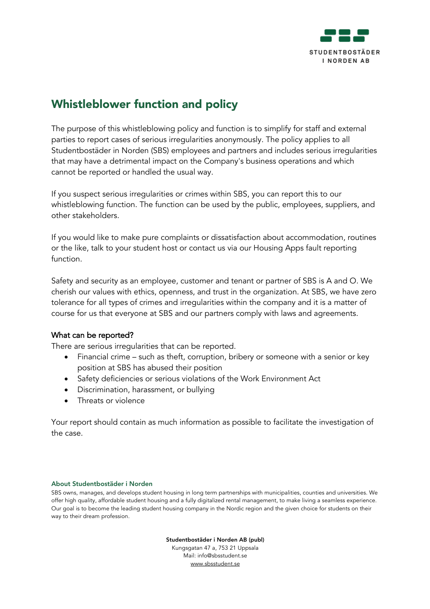

# Whistleblower function and policy

The purpose of this whistleblowing policy and function is to simplify for staff and external parties to report cases of serious irregularities anonymously. The policy applies to all Studentbostäder in Norden (SBS) employees and partners and includes serious irregularities that may have a detrimental impact on the Company's business operations and which cannot be reported or handled the usual way.

If you suspect serious irregularities or crimes within SBS, you can report this to our whistleblowing function. The function can be used by the public, employees, suppliers, and other stakeholders.

If you would like to make pure complaints or dissatisfaction about accommodation, routines or the like, talk to your student host or contact us via our Housing Apps fault reporting function.

Safety and security as an employee, customer and tenant or partner of SBS is A and O. We cherish our values with ethics, openness, and trust in the organization. At SBS, we have zero tolerance for all types of crimes and irregularities within the company and it is a matter of course for us that everyone at SBS and our partners comply with laws and agreements.

# What can be reported?

There are serious irregularities that can be reported.

- Financial crime such as theft, corruption, bribery or someone with a senior or key position at SBS has abused their position
- Safety deficiencies or serious violations of the Work Environment Act
- Discrimination, harassment, or bullying
- Threats or violence

Your report should contain as much information as possible to facilitate the investigation of the case.

#### About Studentbostäder i Norden

SBS owns, manages, and develops student housing in long term partnerships with municipalities, counties and universities. We offer high quality, affordable student housing and a fully digitalized rental management, to make living a seamless experience. Our goal is to become the leading student housing company in the Nordic region and the given choice for students on their way to their dream profession*.*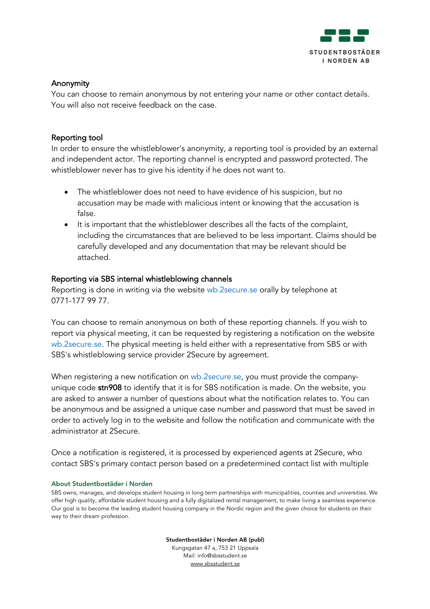

# Anonymity

You can choose to remain anonymous by not entering your name or other contact details. You will also not receive feedback on the case.

## Reporting tool

In order to ensure the whistleblower's anonymity, a reporting tool is provided by an external and independent actor. The reporting channel is encrypted and password protected. The whistleblower never has to give his identity if he does not want to.

- The whistleblower does not need to have evidence of his suspicion, but no accusation may be made with malicious intent or knowing that the accusation is false.
- It is important that the whistleblower describes all the facts of the complaint, including the circumstances that are believed to be less important. Claims should be carefully developed and any documentation that may be relevant should be attached.

## Reporting via SBS internal whistleblowing channels

Reporting is done in writing via the website wb.2secure.se orally by telephone at 0771-177 99 77.

You can choose to remain anonymous on both of these reporting channels. If you wish to report via physical meeting, it can be requested by registering a notification on the website wb.2secure.se. The physical meeting is held either with a representative from SBS or with SBS's whistleblowing service provider 2Secure by agreement.

When registering a new notification on wb.2secure.se, you must provide the companyunique code stn908 to identify that it is for SBS notification is made. On the website, you are asked to answer a number of questions about what the notification relates to. You can be anonymous and be assigned a unique case number and password that must be saved in order to actively log in to the website and follow the notification and communicate with the administrator at 2Secure.

Once a notification is registered, it is processed by experienced agents at 2Secure, who contact SBS's primary contact person based on a predetermined contact list with multiple

#### About Studentbostäder i Norden

SBS owns, manages, and develops student housing in long term partnerships with municipalities, counties and universities. We offer high quality, affordable student housing and a fully digitalized rental management, to make living a seamless experience. Our goal is to become the leading student housing company in the Nordic region and the given choice for students on their way to their dream profession*.*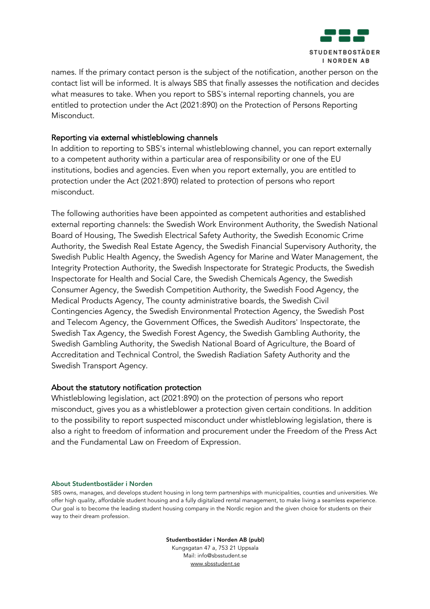

names. If the primary contact person is the subject of the notification, another person on the contact list will be informed. It is always SBS that finally assesses the notification and decides what measures to take. When you report to SBS's internal reporting channels, you are entitled to protection under the Act (2021:890) on the Protection of Persons Reporting Misconduct.

## Reporting via external whistleblowing channels

In addition to reporting to SBS's internal whistleblowing channel, you can report externally to a competent authority within a particular area of responsibility or one of the EU institutions, bodies and agencies. Even when you report externally, you are entitled to protection under the Act (2021:890) related to protection of persons who report misconduct.

The following authorities have been appointed as competent authorities and established external reporting channels: the Swedish Work Environment Authority, the Swedish National Board of Housing, The Swedish Electrical Safety Authority, the Swedish Economic Crime Authority, the Swedish Real Estate Agency, the Swedish Financial Supervisory Authority, the Swedish Public Health Agency, the Swedish Agency for Marine and Water Management, the Integrity Protection Authority, the Swedish Inspectorate for Strategic Products, the Swedish Inspectorate for Health and Social Care, the Swedish Chemicals Agency, the Swedish Consumer Agency, the Swedish Competition Authority, the Swedish Food Agency, the Medical Products Agency, The county administrative boards, the Swedish Civil Contingencies Agency, the Swedish Environmental Protection Agency, the Swedish Post and Telecom Agency, the Government Offices, the Swedish Auditors' Inspectorate, the Swedish Tax Agency, the Swedish Forest Agency, the Swedish Gambling Authority, the Swedish Gambling Authority, the Swedish National Board of Agriculture, the Board of Accreditation and Technical Control, the Swedish Radiation Safety Authority and the Swedish Transport Agency.

# About the statutory notification protection

Whistleblowing legislation, act (2021:890) on the protection of persons who report misconduct, gives you as a whistleblower a protection given certain conditions. In addition to the possibility to report suspected misconduct under whistleblowing legislation, there is also a right to freedom of information and procurement under the Freedom of the Press Act and the Fundamental Law on Freedom of Expression.

#### About Studentbostäder i Norden

SBS owns, manages, and develops student housing in long term partnerships with municipalities, counties and universities. We offer high quality, affordable student housing and a fully digitalized rental management, to make living a seamless experience. Our goal is to become the leading student housing company in the Nordic region and the given choice for students on their way to their dream profession*.*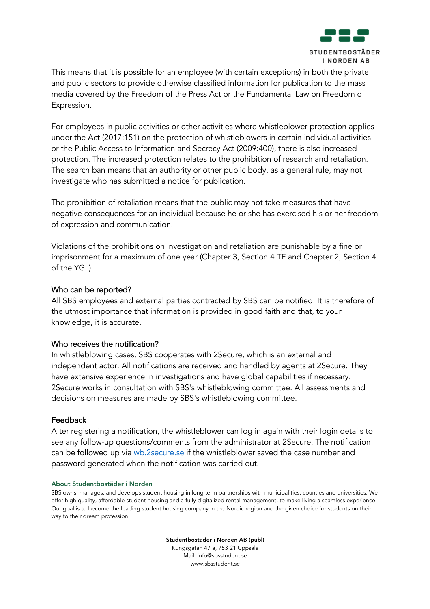

This means that it is possible for an employee (with certain exceptions) in both the private and public sectors to provide otherwise classified information for publication to the mass media covered by the Freedom of the Press Act or the Fundamental Law on Freedom of Expression.

For employees in public activities or other activities where whistleblower protection applies under the Act (2017:151) on the protection of whistleblowers in certain individual activities or the Public Access to Information and Secrecy Act (2009:400), there is also increased protection. The increased protection relates to the prohibition of research and retaliation. The search ban means that an authority or other public body, as a general rule, may not investigate who has submitted a notice for publication.

The prohibition of retaliation means that the public may not take measures that have negative consequences for an individual because he or she has exercised his or her freedom of expression and communication.

Violations of the prohibitions on investigation and retaliation are punishable by a fine or imprisonment for a maximum of one year (Chapter 3, Section 4 TF and Chapter 2, Section 4 of the YGL).

## Who can be reported?

All SBS employees and external parties contracted by SBS can be notified. It is therefore of the utmost importance that information is provided in good faith and that, to your knowledge, it is accurate.

## Who receives the notification?

In whistleblowing cases, SBS cooperates with 2Secure, which is an external and independent actor. All notifications are received and handled by agents at 2Secure. They have extensive experience in investigations and have global capabilities if necessary. 2Secure works in consultation with SBS's whistleblowing committee. All assessments and decisions on measures are made by SBS's whistleblowing committee.

## Feedback

After registering a notification, the whistleblower can log in again with their login details to see any follow-up questions/comments from the administrator at 2Secure. The notification can be followed up via wb.2secure.se if the whistleblower saved the case number and password generated when the notification was carried out.

#### About Studentbostäder i Norden

SBS owns, manages, and develops student housing in long term partnerships with municipalities, counties and universities. We offer high quality, affordable student housing and a fully digitalized rental management, to make living a seamless experience. Our goal is to become the leading student housing company in the Nordic region and the given choice for students on their way to their dream profession*.*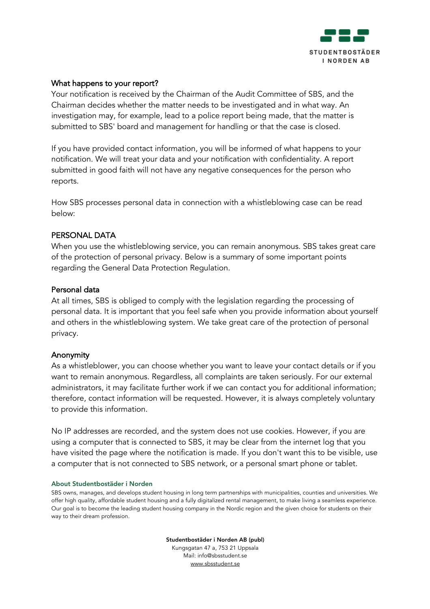

# What happens to your report?

Your notification is received by the Chairman of the Audit Committee of SBS, and the Chairman decides whether the matter needs to be investigated and in what way. An investigation may, for example, lead to a police report being made, that the matter is submitted to SBS' board and management for handling or that the case is closed.

If you have provided contact information, you will be informed of what happens to your notification. We will treat your data and your notification with confidentiality. A report submitted in good faith will not have any negative consequences for the person who reports.

How SBS processes personal data in connection with a whistleblowing case can be read below:

#### PERSONAL DATA

When you use the whistleblowing service, you can remain anonymous. SBS takes great care of the protection of personal privacy. Below is a summary of some important points regarding the General Data Protection Regulation.

#### Personal data

At all times, SBS is obliged to comply with the legislation regarding the processing of personal data. It is important that you feel safe when you provide information about yourself and others in the whistleblowing system. We take great care of the protection of personal privacy.

#### Anonymity

As a whistleblower, you can choose whether you want to leave your contact details or if you want to remain anonymous. Regardless, all complaints are taken seriously. For our external administrators, it may facilitate further work if we can contact you for additional information; therefore, contact information will be requested. However, it is always completely voluntary to provide this information.

No IP addresses are recorded, and the system does not use cookies. However, if you are using a computer that is connected to SBS, it may be clear from the internet log that you have visited the page where the notification is made. If you don't want this to be visible, use a computer that is not connected to SBS network, or a personal smart phone or tablet.

#### About Studentbostäder i Norden

SBS owns, manages, and develops student housing in long term partnerships with municipalities, counties and universities. We offer high quality, affordable student housing and a fully digitalized rental management, to make living a seamless experience. Our goal is to become the leading student housing company in the Nordic region and the given choice for students on their way to their dream profession*.*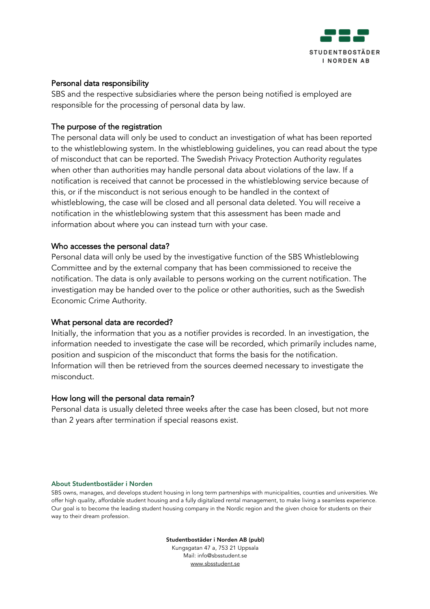

# Personal data responsibility

SBS and the respective subsidiaries where the person being notified is employed are responsible for the processing of personal data by law.

## The purpose of the registration

The personal data will only be used to conduct an investigation of what has been reported to the whistleblowing system. In the whistleblowing guidelines, you can read about the type of misconduct that can be reported. The Swedish Privacy Protection Authority regulates when other than authorities may handle personal data about violations of the law. If a notification is received that cannot be processed in the whistleblowing service because of this, or if the misconduct is not serious enough to be handled in the context of whistleblowing, the case will be closed and all personal data deleted. You will receive a notification in the whistleblowing system that this assessment has been made and information about where you can instead turn with your case.

## Who accesses the personal data?

Personal data will only be used by the investigative function of the SBS Whistleblowing Committee and by the external company that has been commissioned to receive the notification. The data is only available to persons working on the current notification. The investigation may be handed over to the police or other authorities, such as the Swedish Economic Crime Authority.

## What personal data are recorded?

Initially, the information that you as a notifier provides is recorded. In an investigation, the information needed to investigate the case will be recorded, which primarily includes name, position and suspicion of the misconduct that forms the basis for the notification. Information will then be retrieved from the sources deemed necessary to investigate the misconduct.

#### How long will the personal data remain?

Personal data is usually deleted three weeks after the case has been closed, but not more than 2 years after termination if special reasons exist.

#### About Studentbostäder i Norden

SBS owns, manages, and develops student housing in long term partnerships with municipalities, counties and universities. We offer high quality, affordable student housing and a fully digitalized rental management, to make living a seamless experience. Our goal is to become the leading student housing company in the Nordic region and the given choice for students on their way to their dream profession*.*